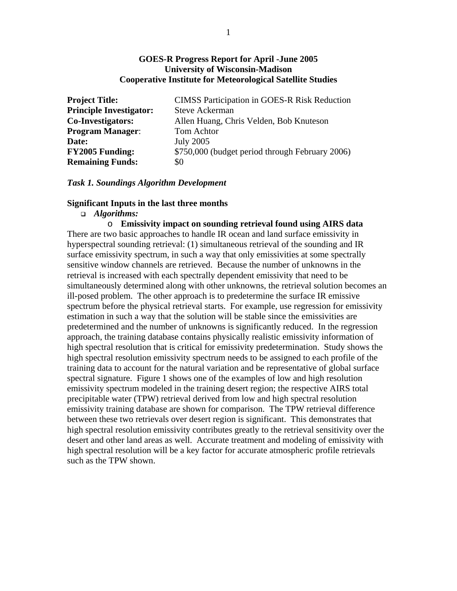### **GOES-R Progress Report for April -June 2005 University of Wisconsin-Madison Cooperative Institute for Meteorological Satellite Studies**

| <b>Project Title:</b>          | <b>CIMSS Participation in GOES-R Risk Reduction</b> |
|--------------------------------|-----------------------------------------------------|
| <b>Principle Investigator:</b> | <b>Steve Ackerman</b>                               |
| <b>Co-Investigators:</b>       | Allen Huang, Chris Velden, Bob Knuteson             |
| <b>Program Manager:</b>        | Tom Achtor                                          |
| Date:                          | <b>July 2005</b>                                    |
| <b>FY2005 Funding:</b>         | \$750,000 (budget period through February 2006)     |
| <b>Remaining Funds:</b>        | \$0                                                 |

#### *Task 1. Soundings Algorithm Development*

#### **Significant Inputs in the last three months**

### *Algorithms:*

o **Emissivity impact on sounding retrieval found using AIRS data**  There are two basic approaches to handle IR ocean and land surface emissivity in hyperspectral sounding retrieval: (1) simultaneous retrieval of the sounding and IR surface emissivity spectrum, in such a way that only emissivities at some spectrally sensitive window channels are retrieved. Because the number of unknowns in the retrieval is increased with each spectrally dependent emissivity that need to be simultaneously determined along with other unknowns, the retrieval solution becomes an ill-posed problem. The other approach is to predetermine the surface IR emissive spectrum before the physical retrieval starts. For example, use regression for emissivity estimation in such a way that the solution will be stable since the emissivities are predetermined and the number of unknowns is significantly reduced. In the regression approach, the training database contains physically realistic emissivity information of high spectral resolution that is critical for emissivity predetermination. Study shows the high spectral resolution emissivity spectrum needs to be assigned to each profile of the training data to account for the natural variation and be representative of global surface spectral signature. Figure 1 shows one of the examples of low and high resolution emissivity spectrum modeled in the training desert region; the respective AIRS total precipitable water (TPW) retrieval derived from low and high spectral resolution emissivity training database are shown for comparison. The TPW retrieval difference between these two retrievals over desert region is significant. This demonstrates that high spectral resolution emissivity contributes greatly to the retrieval sensitivity over the desert and other land areas as well. Accurate treatment and modeling of emissivity with high spectral resolution will be a key factor for accurate atmospheric profile retrievals such as the TPW shown.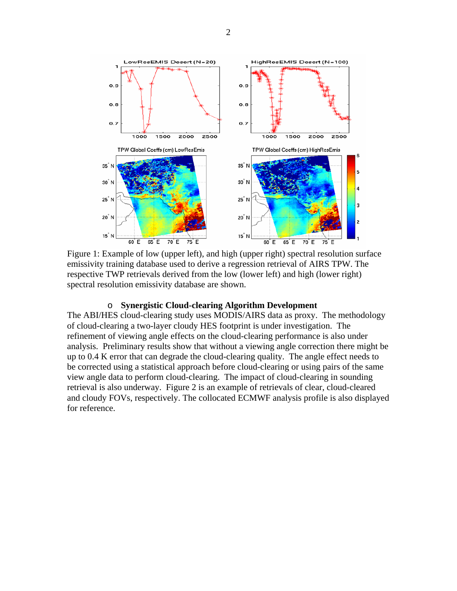

Figure 1: Example of low (upper left), and high (upper right) spectral resolution surface emissivity training database used to derive a regression retrieval of AIRS TPW. The respective TWP retrievals derived from the low (lower left) and high (lower right) spectral resolution emissivity database are shown.

#### o **Synergistic Cloud-clearing Algorithm Development**

The ABI/HES cloud-clearing study uses MODIS/AIRS data as proxy. The methodology of cloud-clearing a two-layer cloudy HES footprint is under investigation. The refinement of viewing angle effects on the cloud-clearing performance is also under analysis. Preliminary results show that without a viewing angle correction there might be up to 0.4 K error that can degrade the cloud-clearing quality. The angle effect needs to be corrected using a statistical approach before cloud-clearing or using pairs of the same view angle data to perform cloud-clearing. The impact of cloud-clearing in sounding retrieval is also underway. Figure 2 is an example of retrievals of clear, cloud-cleared and cloudy FOVs, respectively. The collocated ECMWF analysis profile is also displayed for reference.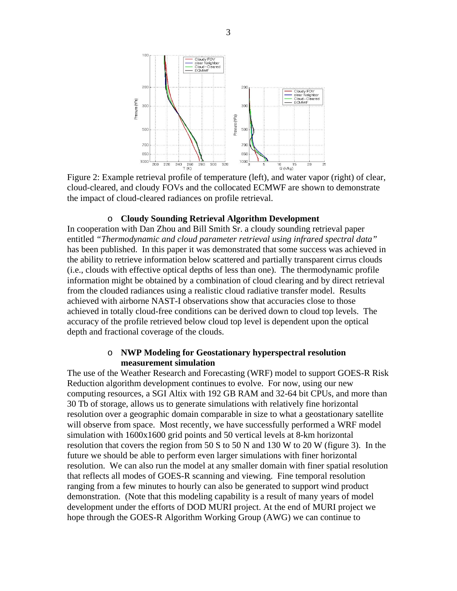

Figure 2: Example retrieval profile of temperature (left), and water vapor (right) of clear, cloud-cleared, and cloudy FOVs and the collocated ECMWF are shown to demonstrate the impact of cloud-cleared radiances on profile retrieval.

#### o **Cloudy Sounding Retrieval Algorithm Development**

In cooperation with Dan Zhou and Bill Smith Sr. a cloudy sounding retrieval paper entitled *"Thermodynamic and cloud parameter retrieval using infrared spectral data"* has been published. In this paper it was demonstrated that some success was achieved in the ability to retrieve information below scattered and partially transparent cirrus clouds (i.e., clouds with effective optical depths of less than one). The thermodynamic profile information might be obtained by a combination of cloud clearing and by direct retrieval from the clouded radiances using a realistic cloud radiative transfer model. Results achieved with airborne NAST-I observations show that accuracies close to those achieved in totally cloud-free conditions can be derived down to cloud top levels. The accuracy of the profile retrieved below cloud top level is dependent upon the optical depth and fractional coverage of the clouds.

### o **NWP Modeling for Geostationary hyperspectral resolution measurement simulation**

The use of the Weather Research and Forecasting (WRF) model to support GOES-R Risk Reduction algorithm development continues to evolve. For now, using our new computing resources, a SGI Altix with 192 GB RAM and 32-64 bit CPUs, and more than 30 Tb of storage, allows us to generate simulations with relatively fine horizontal resolution over a geographic domain comparable in size to what a geostationary satellite will observe from space. Most recently, we have successfully performed a WRF model simulation with 1600x1600 grid points and 50 vertical levels at 8-km horizontal resolution that covers the region from 50 S to 50 N and 130 W to 20 W (figure 3). In the future we should be able to perform even larger simulations with finer horizontal resolution. We can also run the model at any smaller domain with finer spatial resolution that reflects all modes of GOES-R scanning and viewing. Fine temporal resolution ranging from a few minutes to hourly can also be generated to support wind product demonstration. (Note that this modeling capability is a result of many years of model development under the efforts of DOD MURI project. At the end of MURI project we hope through the GOES-R Algorithm Working Group (AWG) we can continue to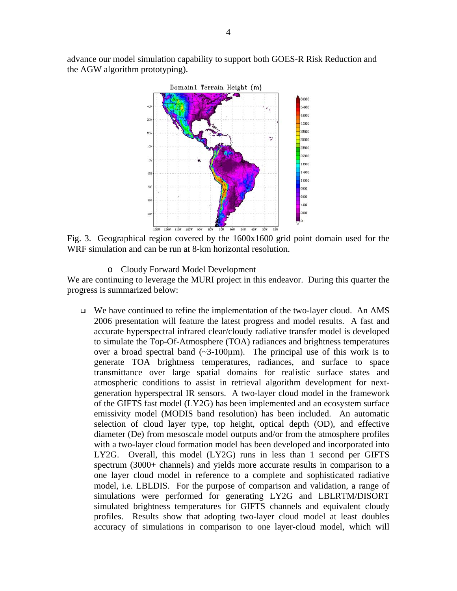advance our model simulation capability to support both GOES-R Risk Reduction and the AGW algorithm prototyping).



Fig. 3. Geographical region covered by the 1600x1600 grid point domain used for the WRF simulation and can be run at 8-km horizontal resolution.

o Cloudy Forward Model Development

We are continuing to leverage the MURI project in this endeavor. During this quarter the progress is summarized below:

 $\Box$  We have continued to refine the implementation of the two-layer cloud. An AMS 2006 presentation will feature the latest progress and model results. A fast and accurate hyperspectral infrared clear/cloudy radiative transfer model is developed to simulate the Top-Of-Atmosphere (TOA) radiances and brightness temperatures over a broad spectral band  $(\sim 3-100 \mu m)$ . The principal use of this work is to generate TOA brightness temperatures, radiances, and surface to space transmittance over large spatial domains for realistic surface states and atmospheric conditions to assist in retrieval algorithm development for nextgeneration hyperspectral IR sensors. A two-layer cloud model in the framework of the GIFTS fast model (LY2G) has been implemented and an ecosystem surface emissivity model (MODIS band resolution) has been included. An automatic selection of cloud layer type, top height, optical depth (OD), and effective diameter (De) from mesoscale model outputs and/or from the atmosphere profiles with a two-layer cloud formation model has been developed and incorporated into LY2G. Overall, this model (LY2G) runs in less than 1 second per GIFTS spectrum (3000+ channels) and yields more accurate results in comparison to a one layer cloud model in reference to a complete and sophisticated radiative model, i.e. LBLDIS. For the purpose of comparison and validation, a range of simulations were performed for generating LY2G and LBLRTM/DISORT simulated brightness temperatures for GIFTS channels and equivalent cloudy profiles. Results show that adopting two-layer cloud model at least doubles accuracy of simulations in comparison to one layer-cloud model, which will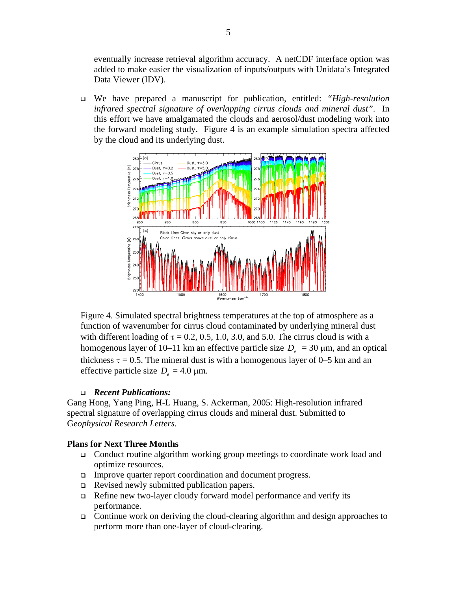eventually increase retrieval algorithm accuracy. A netCDF interface option was added to make easier the visualization of inputs/outputs with Unidata's Integrated Data Viewer (IDV).

 We have prepared a manuscript for publication, entitled: *"High-resolution infrared spectral signature of overlapping cirrus clouds and mineral dust"*. In this effort we have amalgamated the clouds and aerosol/dust modeling work into the forward modeling study. Figure 4 is an example simulation spectra affected by the cloud and its underlying dust.



Figure 4. Simulated spectral brightness temperatures at the top of atmosphere as a function of wavenumber for cirrus cloud contaminated by underlying mineral dust with different loading of  $\tau = 0.2, 0.5, 1.0, 3.0,$  and 5.0. The cirrus cloud is with a homogenous layer of 10–11 km an effective particle size  $D_e = 30 \mu m$ , and an optical thickness  $\tau = 0.5$ . The mineral dust is with a homogenous layer of 0–5 km and an effective particle size  $D_e = 4.0 \text{ }\mu\text{m}$ .

### *Recent Publications:*

Gang Hong, Yang Ping, H-L Huang, S. Ackerman, 2005: High-resolution infrared spectral signature of overlapping cirrus clouds and mineral dust. Submitted to G*eophysical Research Letters*.

#### **Plans for Next Three Months**

- □ Conduct routine algorithm working group meetings to coordinate work load and optimize resources.
- Improve quarter report coordination and document progress.
- Revised newly submitted publication papers.
- □ Refine new two-layer cloudy forward model performance and verify its performance.
- Continue work on deriving the cloud-clearing algorithm and design approaches to perform more than one-layer of cloud-clearing.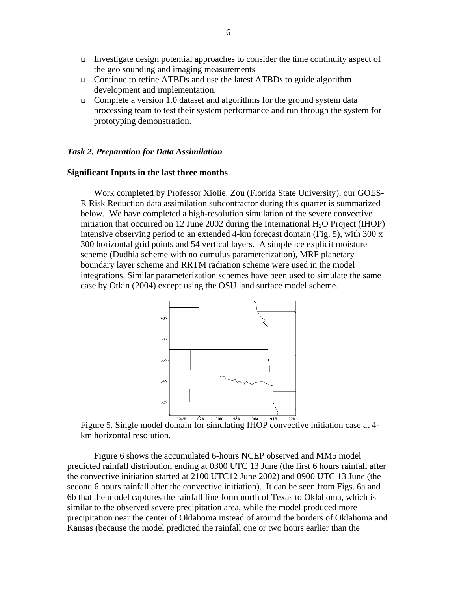- Investigate design potential approaches to consider the time continuity aspect of the geo sounding and imaging measurements
- □ Continue to refine ATBDs and use the latest ATBDs to guide algorithm development and implementation.
- Complete a version 1.0 dataset and algorithms for the ground system data processing team to test their system performance and run through the system for prototyping demonstration.

#### *Task 2. Preparation for Data Assimilation*

#### **Significant Inputs in the last three months**

Work completed by Professor Xiolie. Zou (Florida State University), our GOES-R Risk Reduction data assimilation subcontractor during this quarter is summarized below. We have completed a high-resolution simulation of the severe convective initiation that occurred on 12 June 2002 during the International  $H_2O$  Project (IHOP) intensive observing period to an extended 4-km forecast domain (Fig. 5), with 300 x 300 horizontal grid points and 54 vertical layers. A simple ice explicit moisture scheme (Dudhia scheme with no cumulus parameterization), MRF planetary boundary layer scheme and RRTM radiation scheme were used in the model integrations. Similar parameterization schemes have been used to simulate the same case by Otkin (2004) except using the OSU land surface model scheme.



Figure 5. Single model domain for simulating IHOP convective initiation case at 4 km horizontal resolution.

 Figure 6 shows the accumulated 6-hours NCEP observed and MM5 model predicted rainfall distribution ending at 0300 UTC 13 June (the first 6 hours rainfall after the convective initiation started at 2100 UTC12 June 2002) and 0900 UTC 13 June (the second 6 hours rainfall after the convective initiation). It can be seen from Figs. 6a and 6b that the model captures the rainfall line form north of Texas to Oklahoma, which is similar to the observed severe precipitation area, while the model produced more precipitation near the center of Oklahoma instead of around the borders of Oklahoma and Kansas (because the model predicted the rainfall one or two hours earlier than the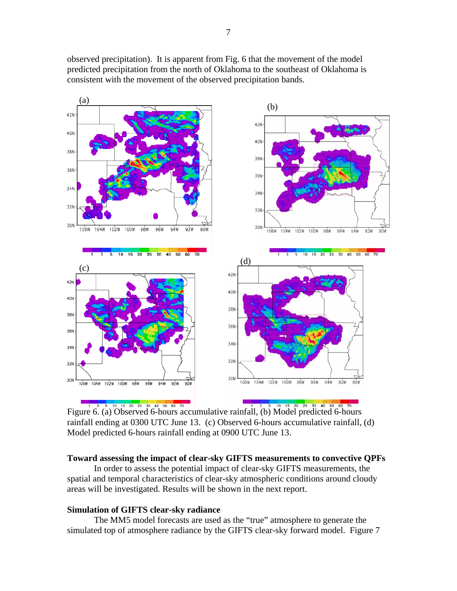observed precipitation). It is apparent from Fig. 6 that the movement of the model predicted precipitation from the north of Oklahoma to the southeast of Oklahoma is consistent with the movement of the observed precipitation bands.



Figure 6. (a) Observed 6-hours accumulative rainfall, (b) Model predicted 6-hours rainfall ending at 0300 UTC June 13. (c) Observed 6-hours accumulative rainfall, (d) Model predicted 6-hours rainfall ending at 0900 UTC June 13.

#### **Toward assessing the impact of clear-sky GIFTS measurements to convective QPFs**

 In order to assess the potential impact of clear-sky GIFTS measurements, the spatial and temporal characteristics of clear-sky atmospheric conditions around cloudy areas will be investigated. Results will be shown in the next report.

### **Simulation of GIFTS clear-sky radiance**

 The MM5 model forecasts are used as the "true" atmosphere to generate the simulated top of atmosphere radiance by the GIFTS clear-sky forward model. Figure 7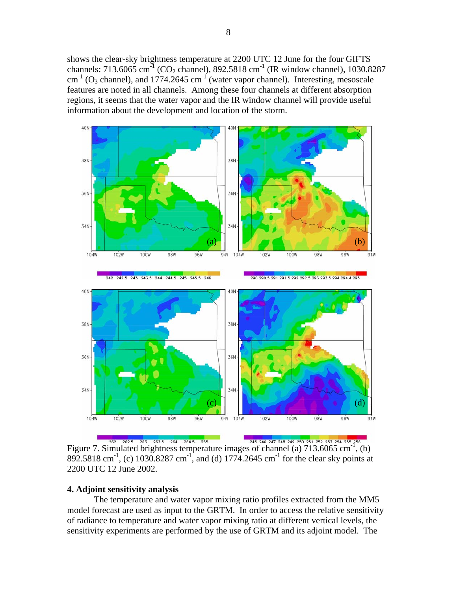shows the clear-sky brightness temperature at 2200 UTC 12 June for the four GIFTS channels: 713.6065 cm<sup>-1</sup> (CO<sub>2</sub> channel), 892.5818 cm<sup>-1</sup> (IR window channel), 1030.8287  $\text{cm}^{-1}$  (O<sub>3</sub> channel), and 1774.2645  $\text{cm}^{-1}$  (water vapor channel). Interesting, mesoscale features are noted in all channels. Among these four channels at different absorption regions, it seems that the water vapor and the IR window channel will provide useful information about the development and location of the storm.



<sup>262</sup> <sup>262</sup> 262.5 263 263.5 264 264.5 265 265 265 245 246 247 248 249 250 251 252 253 254 255 256 261 Eigure 7. Simulated brightness temperature images of channel (a) 713.6065 cm<sup>-1</sup>, (b) 892.5818 cm<sup>-1</sup>, (c) 1030.8287 cm<sup>-1</sup>, and (d) 1774.2645 cm<sup>-1</sup> for the clear sky points at 2200 UTC 12 June 2002.

#### **4. Adjoint sensitivity analysis**

 The temperature and water vapor mixing ratio profiles extracted from the MM5 model forecast are used as input to the GRTM. In order to access the relative sensitivity of radiance to temperature and water vapor mixing ratio at different vertical levels, the sensitivity experiments are performed by the use of GRTM and its adjoint model. The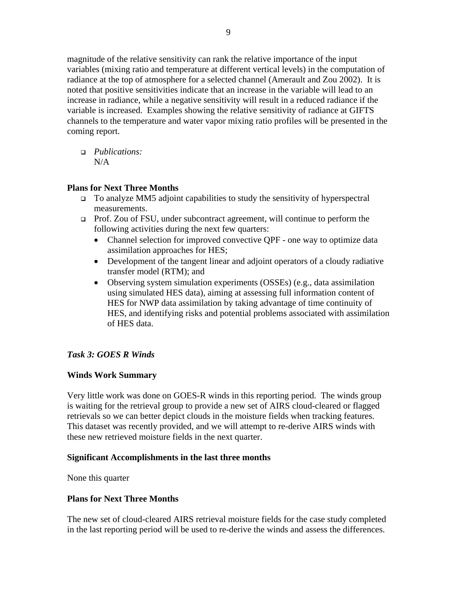magnitude of the relative sensitivity can rank the relative importance of the input variables (mixing ratio and temperature at different vertical levels) in the computation of radiance at the top of atmosphere for a selected channel (Amerault and Zou 2002). It is noted that positive sensitivities indicate that an increase in the variable will lead to an increase in radiance, while a negative sensitivity will result in a reduced radiance if the variable is increased. Examples showing the relative sensitivity of radiance at GIFTS channels to the temperature and water vapor mixing ratio profiles will be presented in the coming report.

 *Publications:*   $N/A$ 

## **Plans for Next Three Months**

- To analyze MM5 adjoint capabilities to study the sensitivity of hyperspectral measurements.
- Prof. Zou of FSU, under subcontract agreement, will continue to perform the following activities during the next few quarters:
	- Channel selection for improved convective QPF one way to optimize data assimilation approaches for HES;
	- Development of the tangent linear and adjoint operators of a cloudy radiative transfer model (RTM); and
	- Observing system simulation experiments (OSSEs) (e.g., data assimilation using simulated HES data), aiming at assessing full information content of HES for NWP data assimilation by taking advantage of time continuity of HES, and identifying risks and potential problems associated with assimilation of HES data.

# *Task 3: GOES R Winds*

# **Winds Work Summary**

Very little work was done on GOES-R winds in this reporting period. The winds group is waiting for the retrieval group to provide a new set of AIRS cloud-cleared or flagged retrievals so we can better depict clouds in the moisture fields when tracking features. This dataset was recently provided, and we will attempt to re-derive AIRS winds with these new retrieved moisture fields in the next quarter.

# **Significant Accomplishments in the last three months**

None this quarter

# **Plans for Next Three Months**

The new set of cloud-cleared AIRS retrieval moisture fields for the case study completed in the last reporting period will be used to re-derive the winds and assess the differences.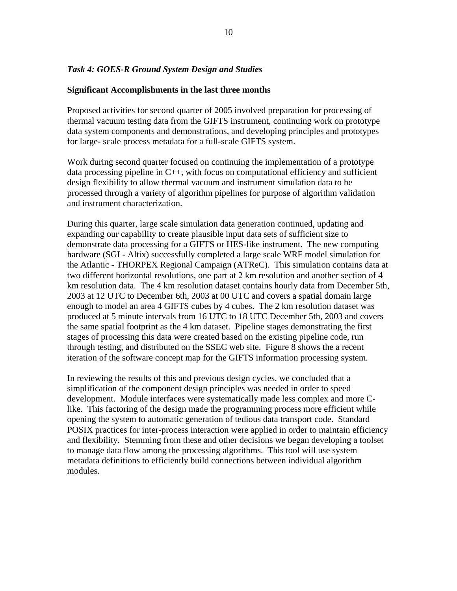## *Task 4: GOES-R Ground System Design and Studies*

#### **Significant Accomplishments in the last three months**

Proposed activities for second quarter of 2005 involved preparation for processing of thermal vacuum testing data from the GIFTS instrument, continuing work on prototype data system components and demonstrations, and developing principles and prototypes for large- scale process metadata for a full-scale GIFTS system.

Work during second quarter focused on continuing the implementation of a prototype data processing pipeline in C++, with focus on computational efficiency and sufficient design flexibility to allow thermal vacuum and instrument simulation data to be processed through a variety of algorithm pipelines for purpose of algorithm validation and instrument characterization.

During this quarter, large scale simulation data generation continued, updating and expanding our capability to create plausible input data sets of sufficient size to demonstrate data processing for a GIFTS or HES-like instrument. The new computing hardware (SGI - Altix) successfully completed a large scale WRF model simulation for the Atlantic - THORPEX Regional Campaign (ATReC). This simulation contains data at two different horizontal resolutions, one part at 2 km resolution and another section of 4 km resolution data. The 4 km resolution dataset contains hourly data from December 5th, 2003 at 12 UTC to December 6th, 2003 at 00 UTC and covers a spatial domain large enough to model an area 4 GIFTS cubes by 4 cubes. The 2 km resolution dataset was produced at 5 minute intervals from 16 UTC to 18 UTC December 5th, 2003 and covers the same spatial footprint as the 4 km dataset. Pipeline stages demonstrating the first stages of processing this data were created based on the existing pipeline code, run through testing, and distributed on the SSEC web site. Figure 8 shows the a recent iteration of the software concept map for the GIFTS information processing system.

In reviewing the results of this and previous design cycles, we concluded that a simplification of the component design principles was needed in order to speed development. Module interfaces were systematically made less complex and more Clike. This factoring of the design made the programming process more efficient while opening the system to automatic generation of tedious data transport code. Standard POSIX practices for inter-process interaction were applied in order to maintain efficiency and flexibility. Stemming from these and other decisions we began developing a toolset to manage data flow among the processing algorithms. This tool will use system metadata definitions to efficiently build connections between individual algorithm modules.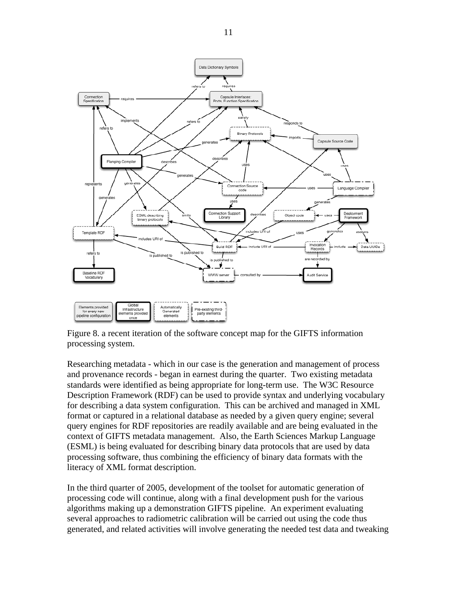

Figure 8. a recent iteration of the software concept map for the GIFTS information processing system.

Researching metadata - which in our case is the generation and management of process and provenance records - began in earnest during the quarter. Two existing metadata standards were identified as being appropriate for long-term use. The W3C Resource Description Framework (RDF) can be used to provide syntax and underlying vocabulary for describing a data system configuration. This can be archived and managed in XML format or captured in a relational database as needed by a given query engine; several query engines for RDF repositories are readily available and are being evaluated in the context of GIFTS metadata management. Also, the Earth Sciences Markup Language (ESML) is being evaluated for describing binary data protocols that are used by data processing software, thus combining the efficiency of binary data formats with the literacy of XML format description.

In the third quarter of 2005, development of the toolset for automatic generation of processing code will continue, along with a final development push for the various algorithms making up a demonstration GIFTS pipeline. An experiment evaluating several approaches to radiometric calibration will be carried out using the code thus generated, and related activities will involve generating the needed test data and tweaking